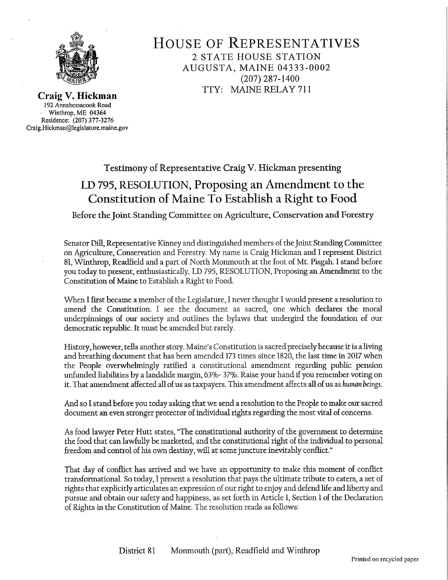

HOUSE OF REPRESENTATIVES 2 STATE HOUSE STATION AUGUSTA, MAINE 04333-0002 (207) 287-1400 TTY: MAINE RELAY <sup>711</sup>

Craig V. Hickman 192 Annabessacook Road Winthrop, ME <sup>04364</sup> Residence: (207) 377-3276 Craig.Hickman@legislature.maine.gov

## Testimony of Representative Craig V. Hickman presenting LD 795, RESOLUTION, Proposing an Amendment to the Constitution of Maine To Establish a Right to Food

Before the ]oint Standing Committee on Agriculture, Conservation and Forestry

Senator Dill, Representative Kinney and distinguished members of the Joint Standing Committee on Agriculture, Conservation and Forestry. My name is Craig Hickman and I represent District 81, Winthrop, Readfield and a part of North Monmouth at the foot of Mt. Pisgah. I stand before you today to present, enthusiastically, LD 795, RESOLUTION, Proposing an Amendment to the Constitution of Maine to Establish a Right to Food.

When I first became a member of the Legislature, I never thought I would present a resolution to amend the Constitution. I see the document as sacred, one which declares the moral underpinnings of our society and outlines the bylaws that undergird the foundation of our democratic republic. It must be amended but rarely.

History, however, tells another story. Maine's Constitution is sacred precisely because it is a living and breathing document that has been amended 173 times since 1820, the last time in 2017 when the People overwhelmingly ratified a constitutional amendment regarding public pension , unfunded liabilities by a landslide margin, 63% 37%. Raise your hand if you remember voting on it. That amendment affected all of us as taxpayers. This amendment affects all of us as human beings.

And so I stand before you today asking that we send a resolution to the People to make our sacred document an even stronger protector of individual rights regarding the most vital of concerns.

As food lawyer Peter Hutt states, "The constitutional authority of the government to determine the food that can lawfully be marketed, and the constitutional right of the individual to personal freedom and control of his own destiny, will at some juncture inevitably conflict."

That day of conflict has arrived and we have an opportunity to make this moment of conflict transformational. So today, I present a resolution that pays the ultimate tribute to eaters, a set of rights that explicitly articulates an expression of our right to enjoy and defend life and liberty and pursue and obtain our safety and happiness, as set forth in Article 1, Section 1 of the Declaration of Rights in the Constitution of Maine. The resolution reads as follows:

Z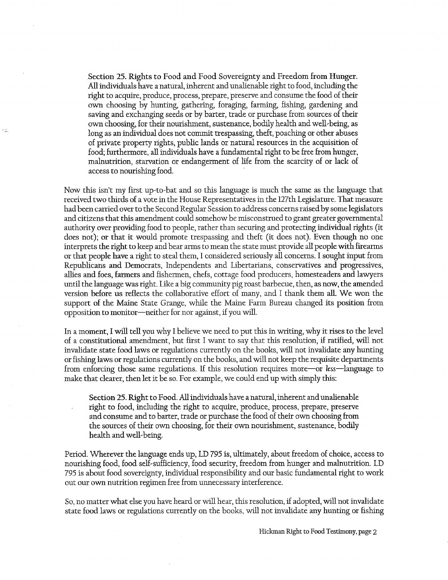Section 25. Rights to Food and Food Sovereignty and Freedom from Hunger. All individuals have a natural, inherent and unalienable right to food, including the right to acquire, produce, process, prepare, preserve and consume the food of their own choosing by hunting, gathering, foraging, farming, fishing, gardening and saving and exchanging seeds or by barter, trade or purchase from sources of their own choosing, for their nourishment, sustenance, bodily health and well-being, as long as an individual does not commit trespassing, theft, poaching or other abuses of private property rights, public lands or natural resources in the acquisition of food; furthermore, all individuals have a fundamental right to be free from hunger, malnutrition, starvation or endangerment of life from the scarcity of or lack of access to nourishing food.

Now this isn't my first up-to-bat and so this language is much the same as the language that received two thirds of a vote in the House Representatives in the 127th Legislature. That measure had been carried over to the Second Regular Session to address concerns raised by some legislators and citizens that this amendment could somehow be misconstrued to grant greater governmental authority over providing food to people, rather than securing and protecting individual rights (it does not); or that it would promote trespassing and theft (it does not). Even though no one interprets the right to keep and bear arms to mean the state must provide all people with firearms or that people have a right to steal them, I considered seriously all concerns. I sought input from Republicans and Democrats, Independents and Libertarians, conservatives and progressives, allies and foes, farmers and fishermen, chefs, cottage food producers, homesteaders and lawyers until the language was right. Like a big community pig roast barbecue, then, as now, the amended version before us reflects the collaborative effort of many, and I thank them all. We won the support of the Maine State Grange, while the Maine Farm Bureau changed its position from opposition to monitor——neither for nor against, if you will.

In a moment, I will tell you Why I believe we need to put this in writing, why it rises to the level of a constitutional amendment, but first I want to say that this resolution, if ratified, will not invalidate state food laws or regulations currently on the books, will not invalidate any hunting or fishing laws or regulations currently on the books, and will not keep the requisite departments from enforcing those same regulations. If this resolution requires more—or less—language to make that clearer, then let it be so. For example, we could end up with simply this:

Section 25. Right to Food. All individuals have a natural, inherent and unalienable . right to food, including the right to acquire, produce, process, prepare, preserve and consume and to barter, trade or purchase the food of their own choosing from the sources of their own choosing, for their own nourishment, sustenance, bodily health and well-being.

Period. Wherever the language ends up, LD 795 is, ultimately, about freedom of choice, access to nourishing food, food self~sufficiency, food security, freedom from hunger and malnutrition. LD 795 is about food sovereignty, individual responsibility and our basic fundamental right to work out our own nutrition regimen free from unnecessary interference.

So, no matter what else you have heard or will hear, this resolution, if adopted, will not invalidate state food laws or regulations currently on the books, will not invalidate any huntingor fishing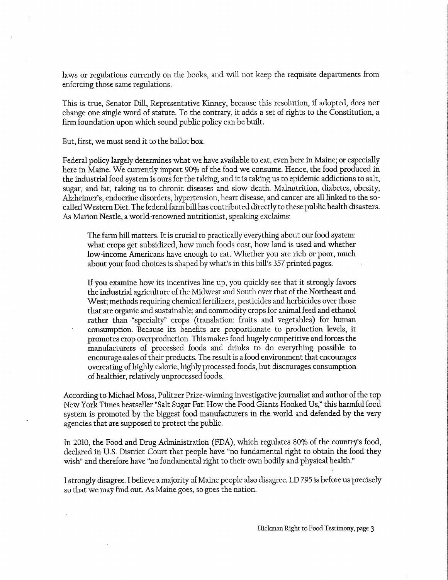laws or regulations currently on the books, and Will not keep the requisite departments from enforcing those same regulations.

This is true, Senator Dill, Representative Kinney, because this resolution, if adopted, does not change one single Word of statute. To the contrary, it adds a set of rights to the Constitution, a firm foundation upon which sound public policy can be built.

But, first, we must send it to the ballot box.

"

Federal policy largely determines What We have available to eat, even here in Maine; or especially here in Maine. We currently import 90% of the food we consume. Hence, the food produced in the industrial food system is ours for the taking, and it is taking us to epidemic addictions to salt, sugar, and fat, taking us to chronic diseases and slow death. Malnutrition, diabetes, obesity, Alzheimer's, endocrine disorders, hypertension, heart disease, and cancer are all linked to the socalled Western Diet. The federal farm bill has contributed directly to these public health disasters. As Marion Nestle, a World»renoWned nutritionist, speaking exclaims:

The farm bill matters. It is crucial to practically everything about our food system: what crops get subsidized, how much foods cost, how land is used and whether low»income Americans have enough to eat. Whether you are rich or poor, much about your food choices is shaped by what's in this bill's 357 printed pages.

If you examine how its incentives line up, you quickly see that it strongly favors the industrial agriculture of the Midwest and South over that of the Northeast and West; methods requiring chemical fertilizers, pesticides and herbicides over those that are organic and sustainable; and commodity crops for animal feed and ethanol rather than "specialty" crops (translation: fruits and vegetables) for human consumption. Because its benefits are proportionate to production levels, it promotes crop overproduction. This makes food hugely competitive and forces the manufacturers of processed foods and drinks to do everything possible to encourage sales of their products. The result is a food environment that encourages overeating of highly caloric, highly processed foods, but discourages consumption of healthier, relatively unprocessed foods.

According to Michael Moss, Pulitzer Prize-winning investigative journalist and author of the top New York Times bestseller "Salt Sugar Fat: How the Food Giants Hooked Us," this harmful food system is promoted by the biggest food manufacturers in the world and defended by the very agencies that are supposed to protect the public.

In 2010, the Food and Drug Administration (FDA), which regulates 80% of the country's food, declared in U.S. District Court that people have "no fundamental right to obtain the food they wish" and therefore have "no fundamental right to their own bodily and physical health."

<sup>I</sup>strongly disagree. Ibelieve a majority of Maine people also disagree. LD 795 is before us precisely so that We may find out. As Maine goes, so goes the nation.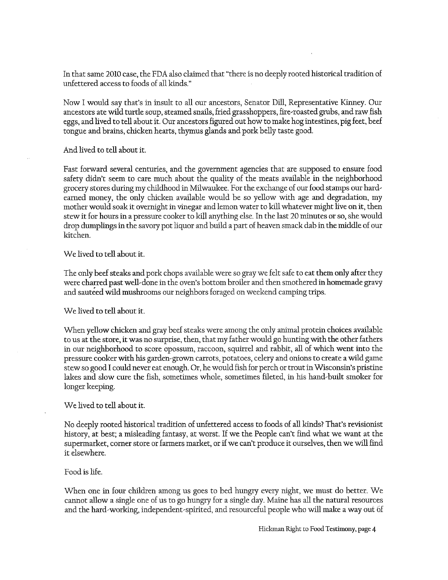In that same 2010 case, the FDA also claimed that "there is no deeply rooted historical tradition of unfettered access to foods of all kinds."

Now I would say that's in insult to all our ancestors, Senator Dill, Representative Kinney. Our ancestors ate wild turtle soup, steamed snails, fried grasshoppers, fire»roasted gmbs, and raw fish eggs, and lived to tell about it. Our ancestors figured out how to make hog intestines, pig feet, beef tongue and brains, chicken hearts, thymus glands and pork belly taste good.

And lived to tell about it.

Fast forward several centuries, and the government agencies that are supposed to ensure food safety didn't seem to care much about the quality of the meats available in the neighborhood grocery stores during my childhood in Milwaukee. For the exchange of our food stamps our hard earned money, the only chicken available would be so yellow with age and degradation, my mother would soak it overnight in vinegar and lemon water to kill whatever might live on it, then stew it for hours in a pressure cooker to kill anything else. In the last 20 minutes or so, she would drop dumplings in the savory pot liquor and build a part of heaven smack dab in the middle of our kitchen.

We lived to tell about it.

The only beef steaks and pork chops available were so gray we felt safe to eat them only after they were charred past well-done in the oven's bottom broiler and then smothered in homemade gravy and sauteed wild mushrooms our neighbors foraged on weekend camping trips.

We lived to tell about it.

When yellow chicken and gray beef steaks were among the only animal protein choices available to us at the store, it was no surprise, then, that my father would go hunting with the other fathers in our neighborhood to score opossum, raccoon, squirrel and rabbit, all of which went into the pressure cooker with his garden/grown carrots, potatoes, celery and onions to create a wild game stew so good I could never eat enough. Or, he would fish for perch or trout in Wisconsin's pristine lakes and slow cure the fish, sometimes whole, sometimes fileted, in his hand/built smoker for longer keeping.

## We lived to tell about it.

No deeply rooted historical tradition of unfettered access to foods of all kinds? That's revisionist history, at best; a misleading fantasy, at worst. If we the People can't find what we want at the supermarket, corner store or farmers market, or if we can t produce it ourselves, then we will find it elsewhere.

## Food is life.

When one in four children among us goes to bed hungry every night, we must do better. We cannot allow a single one of us to go hungry for a single day. Maine has all the natural resources and the hard-working, independent-spirited, and resourceful people who will make a way out of

Hickman Right to Food Testimony, page 4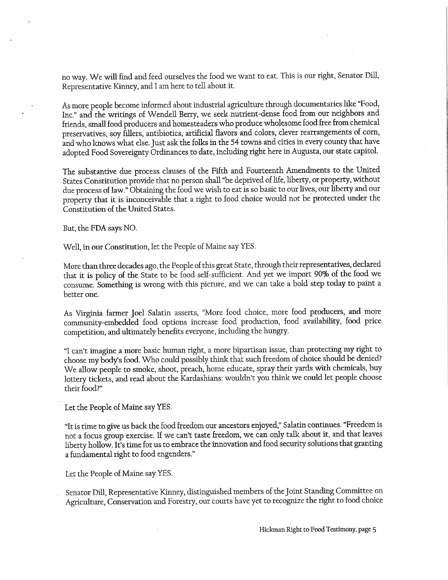no way. We Will find and feed ourselves the food We want to eat. This is our right, Senator Dill, Representative Kinney, and I am here to tell about it.

As more people become informed about industrial agriculture through documentaries like Food, Inc." and the writings of Wendell Berry, we seek nutrient-dense food from our neighbors and friends, small food producers and homesteaders who produce wholesome food free from chemical preservatives, soy fillers, antibiotics, artificial flavors and colors, clever rearrangements of corn, and who knows what else. just ask the folks in the 54 towns and cities in every county that have adopted Food Sovereignty Ordinances to date, including right here in Augusta, our state capitol.

The substantive due process clauses of the Fifth and Fourteenth Amendments to the United States Constitution provide that no person shall "be deprived of life, liberty, or property, without due process of law." Obtaining the food we wish to eat is so basic to our lives, our liberty and our property that it is inconceivable that a right to food choice would not be protected under the Constitution of the United States.

But, the FDA says NO.

Well, in our Constitution, let the People of Maine say YES.

More than three decades ago, the People of this great State, through their representatives, declared that it is policy of the State to be food self-sufficient. And yet we import 90% of the food we consume. Something is wrong with this picture, and we can take a bold step today to paint <sup>a</sup> better one.

As Virginia farmer ]oel Salatin asserts, More food choice, more food producers, and more community-embedded food options increase food production, food availability, food price competition, and ultimately benefits everyone, including the hungry.

"I can't imagine a more basic human right, a more bipartisan issue, than protecting my right to choose my body's food. Who could possibly think that such freedom of choice should be denied? We allow people to smoke, shoot, preach, home educate, spray their yards with chemicals, buy lottery tickets, and read about the Kardashians: wouldn't you think we could let people choose their food?

Let the People of Maine say YES.

"It is time to give us back the food freedom our ancestors enjoyed," Salatin continues. "Freedom is not a focus group exercise. If we can't taste freedom, we can only talk about it, and that leaves liberty hollow. It's time for us to embrace the innovation and food security solutions that granting a fundamental right to food engenders.

Let the People of Maine say YES.

Senator Dill, Representative Kinney, distinguished members of the ]oint Standing Committee on Agriculture, Conservation and Forestry, our courts have yet to recognize the right to food choice

Hickman Right to Food Testimony, page 5

2

E §